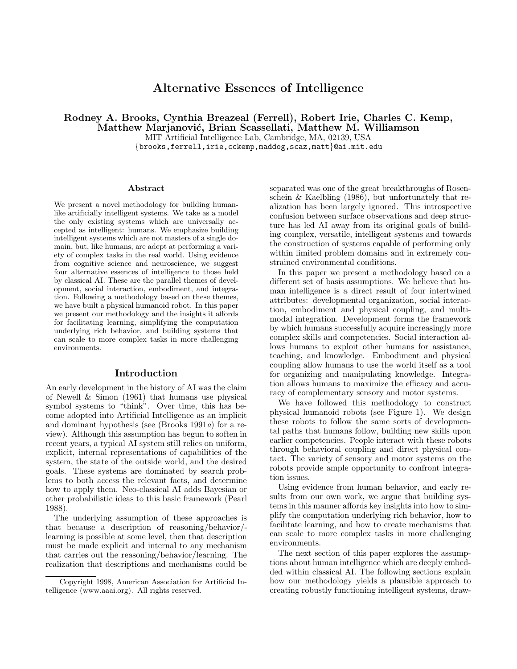# **Alternative Essences of Intelligence**

**Rodney A. Brooks, Cynthia Breazeal (Ferrell), Robert Irie, Charles C. Kemp,**

**Matthew Marjanovi´c, Brian Scassellati, Matthew M. Williamson** MIT Artificial Intelligence Lab, Cambridge, MA, 02139, USA

{brooks,ferrell,irie,cckemp,maddog,scaz,matt}@ai.mit.edu

#### **Abstract**

We present a novel methodology for building humanlike artificially intelligent systems. We take as a model the only existing systems which are universally accepted as intelligent: humans. We emphasize building intelligent systems which are not masters of a single domain, but, like humans, are adept at performing a variety of complex tasks in the real world. Using evidence from cognitive science and neuroscience, we suggest four alternative essences of intelligence to those held by classical AI. These are the parallel themes of development, social interaction, embodiment, and integration. Following a methodology based on these themes, we have built a physical humanoid robot. In this paper we present our methodology and the insights it affords for facilitating learning, simplifying the computation underlying rich behavior, and building systems that can scale to more complex tasks in more challenging environments.

#### **Introduction**

An early development in the history of AI was the claim of Newell & Simon (1961) that humans use physical symbol systems to "think". Over time, this has become adopted into Artificial Intelligence as an implicit and dominant hypothesis (see (Brooks 1991a) for a review). Although this assumption has begun to soften in recent years, a typical AI system still relies on uniform, explicit, internal representations of capabilities of the system, the state of the outside world, and the desired goals. These systems are dominated by search problems to both access the relevant facts, and determine how to apply them. Neo-classical AI adds Bayesian or other probabilistic ideas to this basic framework (Pearl 1988).

The underlying assumption of these approaches is that because a description of reasoning/behavior/ learning is possible at some level, then that description must be made explicit and internal to any mechanism that carries out the reasoning/behavior/learning. The realization that descriptions and mechanisms could be

separated was one of the great breakthroughs of Rosenschein & Kaelbling (1986), but unfortunately that realization has been largely ignored. This introspective confusion between surface observations and deep structure has led AI away from its original goals of building complex, versatile, intelligent systems and towards the construction of systems capable of performing only within limited problem domains and in extremely constrained environmental conditions.

In this paper we present a methodology based on a different set of basis assumptions. We believe that human intelligence is a direct result of four intertwined attributes: developmental organization, social interaction, embodiment and physical coupling, and multimodal integration. Development forms the framework by which humans successfully acquire increasingly more complex skills and competencies. Social interaction allows humans to exploit other humans for assistance, teaching, and knowledge. Embodiment and physical coupling allow humans to use the world itself as a tool for organizing and manipulating knowledge. Integration allows humans to maximize the efficacy and accuracy of complementary sensory and motor systems.

We have followed this methodology to construct physical humanoid robots (see Figure 1). We design these robots to follow the same sorts of developmental paths that humans follow, building new skills upon earlier competencies. People interact with these robots through behavioral coupling and direct physical contact. The variety of sensory and motor systems on the robots provide ample opportunity to confront integration issues.

Using evidence from human behavior, and early results from our own work, we argue that building systems in this manner affords key insights into how to simplify the computation underlying rich behavior, how to facilitate learning, and how to create mechanisms that can scale to more complex tasks in more challenging environments.

The next section of this paper explores the assumptions about human intelligence which are deeply embedded within classical AI. The following sections explain how our methodology yields a plausible approach to creating robustly functioning intelligent systems, draw-

Copyright 1998, American Association for Artificial Intelligence (www.aaai.org). All rights reserved.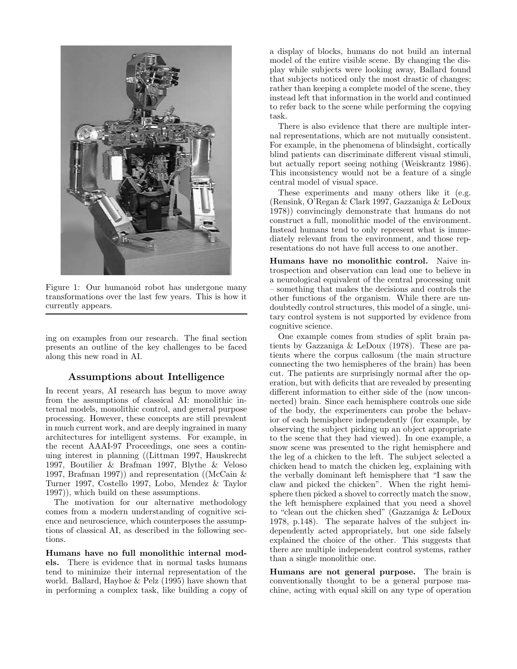

Figure 1: Our humanoid robot has undergone many transformations over the last few years. This is how it currently appears.

ing on examples from our research. The final section presents an outline of the key challenges to be faced along this new road in AI.

# **Assumptions about Intelligence**

In recent years, AI research has begun to move away from the assumptions of classical AI: monolithic internal models, monolithic control, and general purpose processing. However, these concepts are still prevalent in much current work, and are deeply ingrained in many architectures for intelligent systems. For example, in the recent AAAI-97 Proceedings, one sees a continuing interest in planning ((Littman 1997, Hauskrecht 1997, Boutilier & Brafman 1997, Blythe & Veloso 1997, Brafman 1997)) and representation ((McCain  $\&$ Turner 1997, Costello 1997, Lobo, Mendez & Taylor 1997)), which build on these assumptions.

The motivation for our alternative methodology comes from a modern understanding of cognitive science and neuroscience, which counterposes the assumptions of classical AI, as described in the following sections.

**Humans have no full monolithic internal models.** There is evidence that in normal tasks humans tend to minimize their internal representation of the world. Ballard, Hayhoe & Pelz (1995) have shown that in performing a complex task, like building a copy of a display of blocks, humans do not build an internal model of the entire visible scene. By changing the display while subjects were looking away, Ballard found that subjects noticed only the most drastic of changes; rather than keeping a complete model of the scene, they instead left that information in the world and continued to refer back to the scene while performing the copying task.

There is also evidence that there are multiple internal representations, which are not mutually consistent. For example, in the phenomena of blindsight, cortically blind patients can discriminate different visual stimuli, but actually report seeing nothing (Weiskrantz 1986). This inconsistency would not be a feature of a single central model of visual space.

These experiments and many others like it (e.g. (Rensink, O'Regan & Clark 1997, Gazzaniga & LeDoux 1978)) convincingly demonstrate that humans do not construct a full, monolithic model of the environment. Instead humans tend to only represent what is immediately relevant from the environment, and those representations do not have full access to one another.

**Humans have no monolithic control.** Naive introspection and observation can lead one to believe in a neurological equivalent of the central processing unit – something that makes the decisions and controls the other functions of the organism. While there are undoubtedly control structures, this model of a single, unitary control system is not supported by evidence from cognitive science.

One example comes from studies of split brain patients by Gazzaniga & LeDoux (1978). These are patients where the corpus callosum (the main structure connecting the two hemispheres of the brain) has been cut. The patients are surprisingly normal after the operation, but with deficits that are revealed by presenting different information to either side of the (now unconnected) brain. Since each hemisphere controls one side of the body, the experimenters can probe the behavior of each hemisphere independently (for example, by observing the subject picking up an object appropriate to the scene that they had viewed). In one example, a snow scene was presented to the right hemisphere and the leg of a chicken to the left. The subject selected a chicken head to match the chicken leg, explaining with the verbally dominant left hemisphere that "I saw the claw and picked the chicken". When the right hemisphere then picked a shovel to correctly match the snow, the left hemisphere explained that you need a shovel to "clean out the chicken shed" (Gazzaniga & LeDoux 1978, p.148). The separate halves of the subject independently acted appropriately, but one side falsely explained the choice of the other. This suggests that there are multiple independent control systems, rather than a single monolithic one.

**Humans are not general purpose.** The brain is conventionally thought to be a general purpose machine, acting with equal skill on any type of operation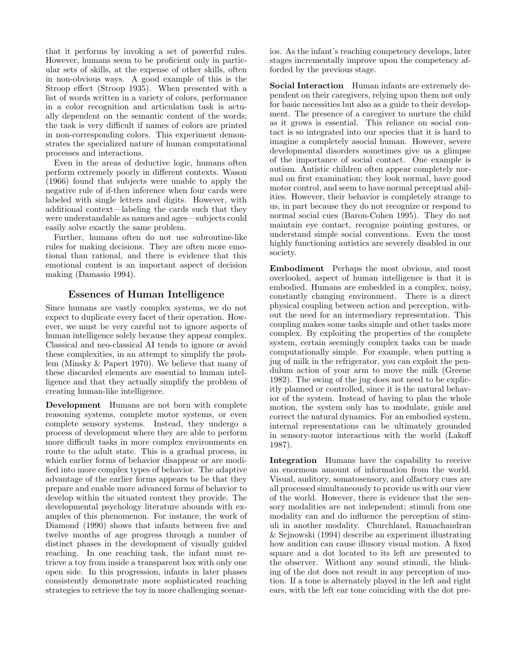that it performs by invoking a set of powerful rules. However, humans seem to be proficient only in particular sets of skills, at the expense of other skills, often in non-obvious ways. A good example of this is the Stroop effect (Stroop 1935). When presented with a list of words written in a variety of colors, performance in a color recognition and articulation task is actually dependent on the semantic content of the words; the task is very difficult if names of colors are printed in non-corresponding colors. This experiment demonstrates the specialized nature of human computational processes and interactions.

Even in the areas of deductive logic, humans often perform extremely poorly in different contexts. Wason (1966) found that subjects were unable to apply the negative rule of if-then inference when four cards were labeled with single letters and digits. However, with additional context—labeling the cards such that they were understandable as names and ages—subjects could easily solve exactly the same problem.

Further, humans often do not use subroutine-like rules for making decisions. They are often more emotional than rational, and there is evidence that this emotional content is an important aspect of decision making (Damasio 1994).

# **Essences of Human Intelligence**

Since humans are vastly complex systems, we do not expect to duplicate every facet of their operation. However, we must be very careful not to ignore aspects of human intelligence solely because they appear complex. Classical and neo-classical AI tends to ignore or avoid these complexities, in an attempt to simplify the problem (Minsky & Papert 1970). We believe that many of these discarded elements are essential to human intelligence and that they actually simplify the problem of creating human-like intelligence.

**Development** Humans are not born with complete reasoning systems, complete motor systems, or even complete sensory systems. Instead, they undergo a process of development where they are able to perform more difficult tasks in more complex environments en route to the adult state. This is a gradual process, in which earlier forms of behavior disappear or are modified into more complex types of behavior. The adaptive advantage of the earlier forms appears to be that they prepare and enable more advanced forms of behavior to develop within the situated context they provide. The developmental psychology literature abounds with examples of this phenomenon. For instance, the work of Diamond (1990) shows that infants between five and twelve months of age progress through a number of distinct phases in the development of visually guided reaching. In one reaching task, the infant must retrieve a toy from inside a transparent box with only one open side. In this progression, infants in later phases consistently demonstrate more sophisticated reaching strategies to retrieve the toy in more challenging scenarios. As the infant's reaching competency develops, later stages incrementally improve upon the competency afforded by the previous stage.

**Social Interaction** Human infants are extremely dependent on their caregivers, relying upon them not only for basic necessities but also as a guide to their development. The presence of a caregiver to nurture the child as it grows is essential. This reliance on social contact is so integrated into our species that it is hard to imagine a completely asocial human. However, severe developmental disorders sometimes give us a glimpse of the importance of social contact. One example is autism. Autistic children often appear completely normal on first examination; they look normal, have good motor control, and seem to have normal perceptual abilities. However, their behavior is completely strange to us, in part because they do not recognize or respond to normal social cues (Baron-Cohen 1995). They do not maintain eye contact, recognize pointing gestures, or understand simple social conventions. Even the most highly functioning autistics are severely disabled in our society.

**Embodiment** Perhaps the most obvious, and most overlooked, aspect of human intelligence is that it is embodied. Humans are embedded in a complex, noisy, constantly changing environment. There is a direct physical coupling between action and perception, without the need for an intermediary representation. This coupling makes some tasks simple and other tasks more complex. By exploiting the properties of the complete system, certain seemingly complex tasks can be made computationally simple. For example, when putting a jug of milk in the refrigerator, you can exploit the pendulum action of your arm to move the milk (Greene 1982). The swing of the jug does not need to be explicitly planned or controlled, since it is the natural behavior of the system. Instead of having to plan the whole motion, the system only has to modulate, guide and correct the natural dynamics. For an embodied system, internal representations can be ultimately grounded in sensory-motor interactions with the world (Lakoff 1987).

**Integration** Humans have the capability to receive an enormous amount of information from the world. Visual, auditory, somatosensory, and olfactory cues are all processed simultaneously to provide us withour view of the world. However, there is evidence that the sensory modalities are not independent; stimuli from one modality can and do influence the perception of stimuli in another modality. Churchland, Ramachandran & Sejnowski (1994) describe an experiment illustrating how audition can cause illusory visual motion. A fixed square and a dot located to its left are presented to the observer. Without any sound stimuli, the blinking of the dot does not result in any perception of motion. If a tone is alternately played in the left and right ears, with the left ear tone coinciding with the dot pre-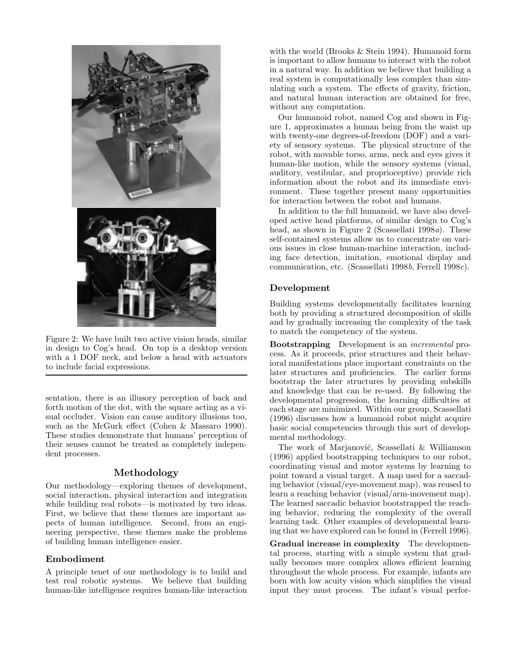

Figure 2: We have built two active vision heads, similar in design to Cog's head. On top is a desktop version with a 1 DOF neck, and below a head with actuators to include facial expressions.

sentation, there is an illusory perception of back and forth motion of the dot, with the square acting as a visual occluder. Vision can cause auditory illusions too, such as the McGurk effect (Cohen & Massaro 1990). These studies demonstrate that humans' perception of their senses cannot be treated as completely independent processes.

# **Methodology**

Our methodology—exploring themes of development, social interaction, physical interaction and integration while building real robots—is motivated by two ideas. First, we believe that these themes are important aspects of human intelligence. Second, from an engineering perspective, these themes make the problems of building human intelligence easier.

### **Embodiment**

A principle tenet of our methodology is to build and test real robotic systems. We believe that building human-like intelligence requires human-like interaction

with the world (Brooks  $&$  Stein 1994). Humanoid form is important to allow humans to interact with the robot in a natural way. In addition we believe that building a real system is computationally less complex than simulating such a system. The effects of gravity, friction, and natural human interaction are obtained for free, without any computation.

Our humanoid robot, named Cog and shown in Figure 1, approximates a human being from the waist up with twenty-one degrees-of-freedom (DOF) and a variety of sensory systems. The physical structure of the robot, with movable torso, arms, neck and eyes gives it human-like motion, while the sensory systems (visual, auditory, vestibular, and proprioceptive) provide rich information about the robot and its immediate environment. These together present many opportunities for interaction between the robot and humans.

In addition to the full humanoid, we have also developed active head platforms, of similar design to Cog's head, as shown in Figure 2 (Scassellati 1998a). These self-contained systems allow us to concentrate on various issues in close human-machine interaction, including face detection, imitation, emotional display and communication, etc. (Scassellati 1998b, Ferrell 1998c).

## **Development**

Building systems developmentally facilitates learning both by providing a structured decomposition of skills and by gradually increasing the complexity of the task to match the competency of the system.

**Bootstrapping** Development is an incremental process. As it proceeds, prior structures and their behavioral manifestations place important constraints on the later structures and proficiencies. The earlier forms bootstrap the later structures by providing subskills and knowledge that can be re-used. By following the developmental progression, the learning difficulties at each stage are minimized. Within our group, Scassellati (1996) discusses how a humanoid robot might acquire basic social competencies through this sort of developmental methodology.

The work of Marjanović, Scassellati & Williamson (1996) applied bootstrapping techniques to our robot, coordinating visual and motor systems by learning to point toward a visual target. A map used for a saccading behavior (visual/eye-movement map), was reused to learn a reaching behavior (visual/arm-movement map). The learned saccadic behavior bootstrapped the reaching behavior, reducing the complexity of the overall learning task. Other examples of developmental learning that we have explored can be found in (Ferrell 1996).

**Gradual increase in complexity** The developmental process, starting with a simple system that gradually becomes more complex allows efficient learning throughout the whole process. For example, infants are born with low acuity vision which simplifies the visual input they must process. The infant's visual perfor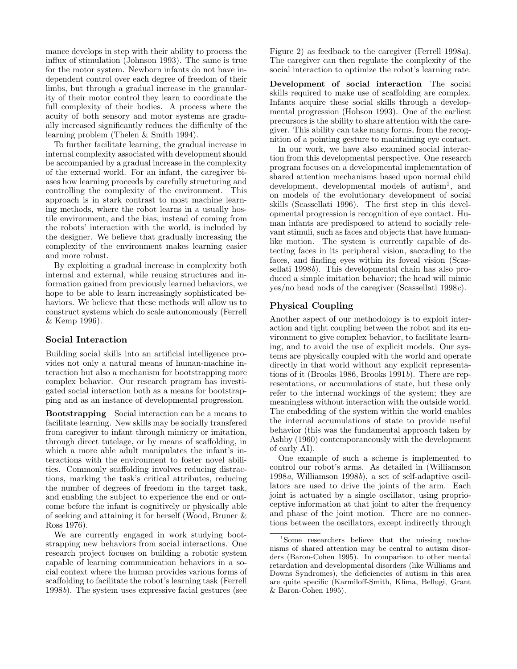mance develops in step with their ability to process the influx of stimulation (Johnson 1993). The same is true for the motor system. Newborn infants do not have independent control over each degree of freedom of their limbs, but through a gradual increase in the granularity of their motor control they learn to coordinate the full complexity of their bodies. A process where the acuity of both sensory and motor systems are gradually increased significantly reduces the difficulty of the learning problem (Thelen & Smith 1994).

To further facilitate learning, the gradual increase in internal complexity associated with development should be accompanied by a gradual increase in the complexity of the external world. For an infant, the caregiver biases how learning proceeds by carefully structuring and controlling the complexity of the environment. This approach is in stark contrast to most machine learning methods, where the robot learns in a usually hostile environment, and the bias, instead of coming from the robots' interaction with the world, is included by the designer. We believe that gradually increasing the complexity of the environment makes learning easier and more robust.

By exploiting a gradual increase in complexity both internal and external, while reusing structures and information gained from previously learned behaviors, we hope to be able to learn increasingly sophisticated behaviors. We believe that these methods will allow us to construct systems which do scale autonomously (Ferrell & Kemp 1996).

# **Social Interaction**

Building social skills into an artificial intelligence provides not only a natural means of human-machine interaction but also a mechanism for bootstrapping more complex behavior. Our research program has investigated social interaction bothas a means for bootstrapping and as an instance of developmental progression.

**Bootstrapping** Social interaction can be a means to facilitate learning. New skills may be socially transfered from caregiver to infant through mimicry or imitation, through direct tutelage, or by means of scaffolding, in which a more able adult manipulates the infant's interactions with the environment to foster novel abilities. Commonly scaffolding involves reducing distractions, marking the task's critical attributes, reducing the number of degrees of freedom in the target task, and enabling the subject to experience the end or outcome before the infant is cognitively or physically able of seeking and attaining it for herself (Wood, Bruner & Ross 1976).

We are currently engaged in work studying bootstrapping new behaviors from social interactions. One research project focuses on building a robotic system capable of learning communication behaviors in a social context where the human provides various forms of scaffolding to facilitate the robot's learning task (Ferrell 1998b). The system uses expressive facial gestures (see Figure 2) as feedback to the caregiver (Ferrell 1998a). The caregiver can then regulate the complexity of the social interaction to optimize the robot's learning rate.

**Development of social interaction** The social skills required to make use of scaffolding are complex. Infants acquire these social skills through a developmental progression (Hobson 1993). One of the earliest precursors is the ability to share attention with the caregiver. This ability can take many forms, from the recognition of a pointing gesture to maintaining eye contact.

In our work, we have also examined social interaction from this developmental perspective. One research program focuses on a developmental implementation of shared attention mechanisms based upon normal child development, developmental models of autism<sup>1</sup>, and on models of the evolutionary development of social skills (Scassellati 1996). The first step in this developmental progression is recognition of eye contact. Human infants are predisposed to attend to socially relevant stimuli, such as faces and objects that have humanlike motion. The system is currently capable of detecting faces in its peripheral vision, saccading to the faces, and finding eyes within its foveal vision (Scassellati 1998b). This developmental chain has also produced a simple imitation behavior; the head will mimic yes/no head nods of the caregiver (Scassellati 1998c).

# **Physical Coupling**

Another aspect of our methodology is to exploit interaction and tight coupling between the robot and its environment to give complex behavior, to facilitate learning, and to avoid the use of explicit models. Our systems are physically coupled with the world and operate directly in that world without any explicit representations of it (Brooks 1986, Brooks 1991b). There are representations, or accumulations of state, but these only refer to the internal workings of the system; they are meaningless without interaction with the outside world. The embedding of the system within the world enables the internal accumulations of state to provide useful behavior (this was the fundamental approach taken by Ashby (1960) contemporaneously with the development of early AI).

One example of such a scheme is implemented to control our robot's arms. As detailed in (Williamson 1998a, Williamson 1998b), a set of self-adaptive oscillators are used to drive the joints of the arm. Each joint is actuated by a single oscillator, using proprioceptive information at that joint to alter the frequency and phase of the joint motion. There are no connections between the oscillators, except indirectly through

<sup>&</sup>lt;sup>1</sup>Some researchers believe that the missing mechanisms of shared attention may be central to autism disorders (Baron-Cohen 1995). In comparison to other mental retardation and developmental disorders (like Williams and Downs Syndromes), the deficiencies of autism in this area are quite specific (Karmiloff-Smith, Klima, Bellugi, Grant & Baron-Cohen 1995).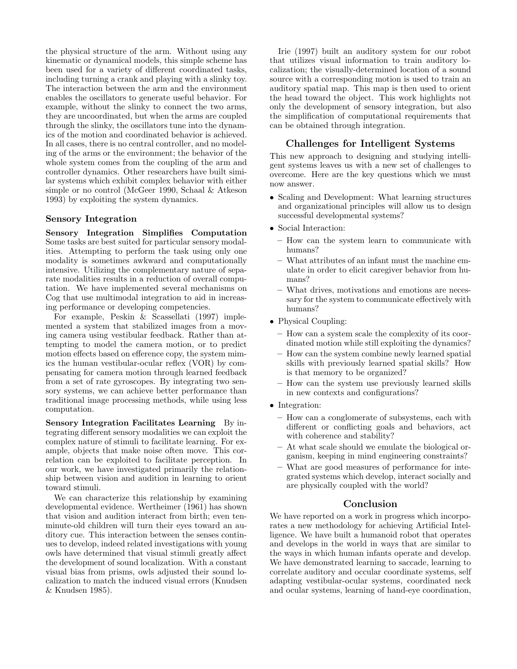the physical structure of the arm. Without using any kinematic or dynamical models, this simple scheme has been used for a variety of different coordinated tasks, including turning a crank and playing with a slinky toy. The interaction between the arm and the environment enables the oscillators to generate useful behavior. For example, without the slinky to connect the two arms, they are uncoordinated, but when the arms are coupled through the slinky, the oscillators tune into the dynamics of the motion and coordinated behavior is achieved. In all cases, there is no central controller, and no modeling of the arms or the environment; the behavior of the whole system comes from the coupling of the arm and controller dynamics. Other researchers have built similar systems which exhibit complex behavior with either simple or no control (McGeer 1990, Schaal & Atkeson 1993) by exploiting the system dynamics.

## **Sensory Integration**

**Sensory Integration Simplifies Computation** Some tasks are best suited for particular sensory modalities. Attempting to perform the task using only one modality is sometimes awkward and computationally intensive. Utilizing the complementary nature of separate modalities results in a reduction of overall computation. We have implemented several mechanisms on Cog that use multimodal integration to aid in increasing performance or developing competencies.

For example, Peskin & Scassellati (1997) implemented a system that stabilized images from a moving camera using vestibular feedback. Rather than attempting to model the camera motion, or to predict motion effects based on efference copy, the system mimics the human vestibular-ocular reflex (VOR) by compensating for camera motion through learned feedback from a set of rate gyroscopes. By integrating two sensory systems, we can achieve better performance than traditional image processing methods, while using less computation.

**Sensory Integration Facilitates Learning** By integrating different sensory modalities we can exploit the complex nature of stimuli to facilitate learning. For example, objects that make noise often move. This correlation can be exploited to facilitate perception. In our work, we have investigated primarily the relationship between vision and audition in learning to orient toward stimuli.

We can characterize this relationship by examining developmental evidence. Wertheimer (1961) has shown that vision and audition interact from birth; even tenminute-old children will turn their eyes toward an auditory cue. This interaction between the senses continues to develop, indeed related investigations with young owls have determined that visual stimuli greatly affect the development of sound localization. With a constant visual bias from prisms, owls adjusted their sound localization to match the induced visual errors (Knudsen & Knudsen 1985).

Irie (1997) built an auditory system for our robot that utilizes visual information to train auditory localization; the visually-determined location of a sound source with a corresponding motion is used to train an auditory spatial map. This map is then used to orient the head toward the object. This work highlights not only the development of sensory integration, but also the simplification of computational requirements that can be obtained through integration.

### **Challenges for Intelligent Systems**

This new approach to designing and studying intelligent systems leaves us witha new set of challenges to overcome. Here are the key questions which we must now answer.

- Scaling and Development: What learning structures and organizational principles will allow us to design successful developmental systems?
- Social Interaction:
	- **–** How can the system learn to communicate with humans?
	- **–** What attributes of an infant must the machine emulate in order to elicit caregiver behavior from humans?
	- **–** What drives, motivations and emotions are necessary for the system to communicate effectively with humans?
- Physical Coupling:
	- **–** How can a system scale the complexity of its coordinated motion while still exploiting the dynamics?
	- **–** How can the system combine newly learned spatial skills with previously learned spatial skills? How is that memory to be organized?
	- **–** How can the system use previously learned skills in new contexts and configurations?
- Integration:
	- **–** How can a conglomerate of subsystems, eachwith different or conflicting goals and behaviors, act with coherence and stability?
	- **–** At what scale should we emulate the biological organism, keeping in mind engineering constraints?
	- **–** What are good measures of performance for integrated systems which develop, interact socially and are physically coupled with the world?

### **Conclusion**

We have reported on a work in progress which incorporates a new methodology for achieving Artificial Intelligence. We have built a humanoid robot that operates and develops in the world in ways that are similar to the ways in which human infants operate and develop. We have demonstrated learning to saccade, learning to correlate auditory and occular coordinate systems, self adapting vestibular-ocular systems, coordinated neck and ocular systems, learning of hand-eye coordination,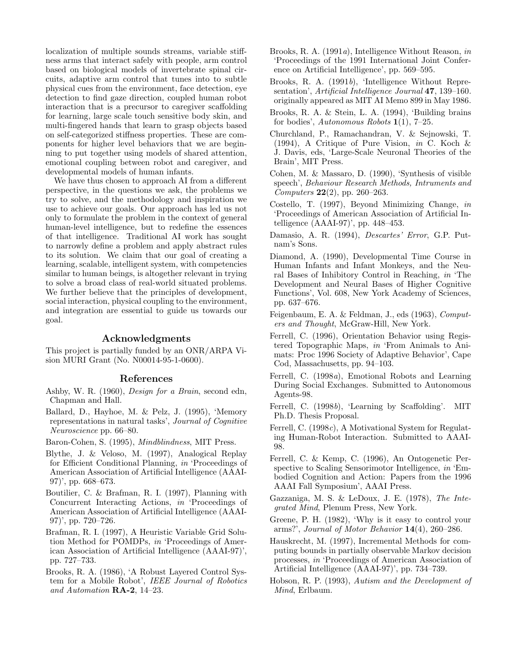localization of multiple sounds streams, variable stiffness arms that interact safely with people, arm control based on biological models of invertebrate spinal circuits, adaptive arm control that tunes into to subtle physical cues from the environment, face detection, eye detection to find gaze direction, coupled human robot interaction that is a precursor to caregiver scaffolding for learning, large scale touch sensitive body skin, and multi-fingered hands that learn to grasp objects based on self-categorized stiffness properties. These are components for higher level behaviors that we are beginning to put together using models of shared attention, emotional coupling between robot and caregiver, and developmental models of human infants.

We have thus chosen to approach AI from a different perspective, in the questions we ask, the problems we try to solve, and the methodology and inspiration we use to achieve our goals. Our approach has led us not only to formulate the problem in the context of general human-level intelligence, but to redefine the essences of that intelligence. Traditional AI work has sought to narrowly define a problem and apply abstract rules to its solution. We claim that our goal of creating a learning, scalable, intelligent system, with competencies similar to human beings, is altogether relevant in trying to solve a broad class of real-world situated problems. We further believe that the principles of development, social interaction, physical coupling to the environment, and integration are essential to guide us towards our goal.

### **Acknowledgments**

This project is partially funded by an ONR/ARPA Vision MURI Grant (No. N00014-95-1-0600).

#### **References**

- Ashby, W. R. (1960), Design for a Brain, second edn, Chapman and Hall.
- Ballard, D., Hayhoe, M. & Pelz, J. (1995), 'Memory representations in natural tasks', Journal of Cognitive Neuroscience pp. 66–80.
- Baron-Cohen, S. (1995), Mindblindness, MIT Press.
- Blythe, J. & Veloso, M. (1997), Analogical Replay for Efficient Conditional Planning, in 'Proceedings of American Association of Artificial Intelligence (AAAI-97)', pp. 668–673.
- Boutilier, C. & Brafman, R. I. (1997), Planning with Concurrent Interacting Actions, in 'Proceedings of American Association of Artificial Intelligence (AAAI-97)', pp. 720–726.
- Brafman, R. I. (1997), A Heuristic Variable Grid Solution Method for POMDPs, in 'Proceedings of American Association of Artificial Intelligence (AAAI-97)', pp. 727–733.
- Brooks, R. A. (1986), 'A Robust Layered Control System for a Mobile Robot', IEEE Journal of Robotics and Automation **RA-2**, 14–23.
- Brooks, R. A. (1991a), Intelligence Without Reason, in 'Proceedings of the 1991 International Joint Conference on Artificial Intelligence', pp. 569–595.
- Brooks, R. A. (1991b), 'Intelligence Without Representation', Artificial Intelligence Journal **47**, 139–160. originally appeared as MIT AI Memo 899 in May 1986.
- Brooks, R. A. & Stein, L. A. (1994), 'Building brains for bodies', Autonomous Robots **1**(1), 7–25.
- Churchland, P., Ramachandran, V. & Sejnowski, T. (1994), A Critique of Pure Vision, in C. Koch  $\&$ J. Davis, eds, 'Large-Scale Neuronal Theories of the Brain', MIT Press.
- Cohen, M. & Massaro, D. (1990), 'Synthesis of visible speech', Behaviour Research Methods, Intruments and Computers **22**(2), pp. 260–263.
- Costello, T. (1997), Beyond Minimizing Change, in 'Proceedings of American Association of Artificial Intelligence (AAAI-97)', pp. 448–453.
- Damasio, A. R. (1994), *Descartes' Error*, G.P. Putnam's Sons.
- Diamond, A. (1990), Developmental Time Course in Human Infants and Infant Monkeys, and the Neural Bases of Inhibitory Control in Reaching, in 'The Development and Neural Bases of Higher Cognitive Functions', Vol. 608, New York Academy of Sciences, pp. 637–676.
- Feigenbaum, E. A. & Feldman, J., eds (1963), Computers and Thought, McGraw-Hill, New York.
- Ferrell, C. (1996), Orientation Behavior using Registered Topographic Maps, in 'From Animals to Animats: Proc 1996 Society of Adaptive Behavior', Cape Cod, Massachusetts, pp. 94–103.
- Ferrell, C. (1998a), Emotional Robots and Learning During Social Exchanges. Submitted to Autonomous Agents-98.
- Ferrell, C. (1998b), 'Learning by Scaffolding'. MIT Ph.D. Thesis Proposal.
- Ferrell, C. (1998c), A Motivational System for Regulating Human-Robot Interaction. Submitted to AAAI-98.
- Ferrell, C. & Kemp, C. (1996), An Ontogenetic Perspective to Scaling Sensorimotor Intelligence, in 'Embodied Cognition and Action: Papers from the 1996 AAAI Fall Symposium', AAAI Press.
- Gazzaniga, M. S. & LeDoux, J. E. (1978), The Integrated Mind, Plenum Press, New York.
- Greene, P. H. (1982), 'Why is it easy to control your arms?', Journal of Motor Behavior **14**(4), 260–286.
- Hauskrecht, M. (1997), Incremental Methods for computing bounds in partially observable Markov decision processes, in 'Proceedings of American Association of Artificial Intelligence (AAAI-97)', pp. 734–739.
- Hobson, R. P. (1993), Autism and the Development of Mind, Erlbaum.